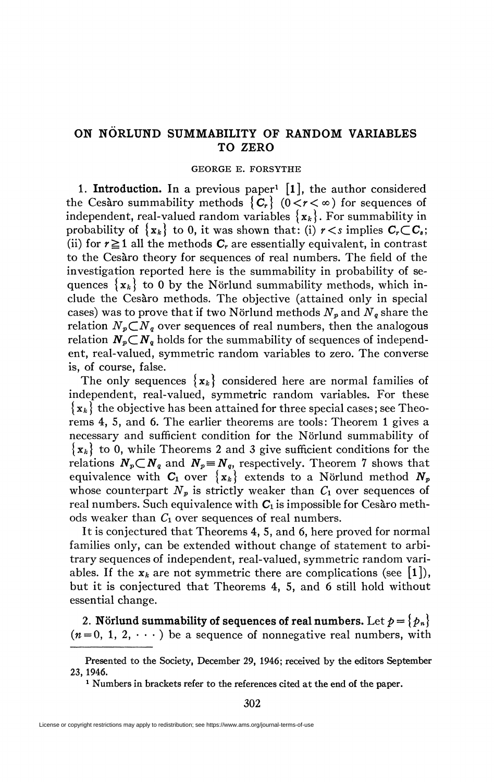## **ON NÖRLÜND SUMMABILITY OF RANDOM VARIABLES TO ZERO**

## GEORGE E. FORSYTHE

1. Introduction. In a previous paper<sup>1</sup> [1], the author considered the Cesaro summability methods  $\{C_r\}$  ( $0 < r < \infty$ ) for sequences of independent, real-valued random variables  ${x_k}$ . For summability in probability of  $\{x_k\}$  to 0, it was shown that: (i)  $r < s$  implies  $C_r \subset C_s$ ; (ii) for  $r \ge 1$  all the methods  $C_r$  are essentially equivalent, in contrast to the Cesàro theory for sequences of real numbers. The field of the investigation reported here is the summability in probability of sequences  $\{x_k\}$  to 0 by the Nörlund summability methods, which include the Cesàro methods. The objective (attained only in special cases) was to prove that if two Nörlund methods  $N_p$  and  $N_q$  share the relation  $N_p C N_q$  over sequences of real numbers, then the analogous relation  $N_p \subset N_q$  holds for the summability of sequences of independent, real-valued, symmetric random variables to zero. The converse is, of course, false.

The only sequences  $\{x_k\}$  considered here are normal families of independent, real-valued, symmetric random variables. For these  ${x_k}$  the objective has been attained for three special cases; see Theorems 4, 5, and 6. The earlier theorems are tools: Theorem 1 gives a necessary and sufficient condition for the Nörlund summability of *{xk}* to 0, while Theorems 2 and 3 give sufficient conditions for the relations  $N_p \subset N_q$  and  $N_p \equiv N_q$ , respectively. Theorem 7 shows that equivalence with  $C_1$  over  $\{x_k\}$  extends to a Nörlund method  $N_p$ whose counterpart  $N_p$  is strictly weaker than  $C_1$  over sequences of real numbers. Such equivalence with  $C_1$  is impossible for Cesaro methods weaker than *C\* over sequences of real numbers.

It is conjectured that Theorems 4, 5, and 6, here proved for normal families only, can be extended without change of statement to arbitrary sequences of independent, real-valued, symmetric random variables. If the  $x_k$  are not symmetric there are complications (see [1]), but it is conjectured that Theorems 4, 5, and 6 still hold without essential change.

2. **Nörlund summability of sequences of real numbers. Let**  $p = \{p_n\}$  $(n=0, 1, 2, \dots)$  be a sequence of nonnegative real numbers, with

<sup>1</sup> Numbers in brackets refer to the references cited at the end of the paper.

302

Presented to the Society, December 29, 1946; received by the editors September 23, 1946.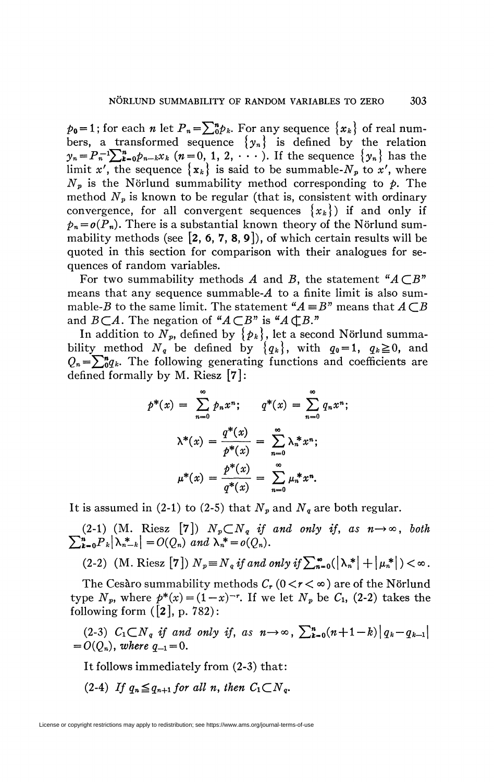$p_0=1$ ; for each *n* let  $P_n=\sum_{k=0}^n p_k$ . For any sequence  $\{x_k\}$  of real numbers, a transformed sequence  $\{y_n\}$  is defined by the relation  $y_n = P_n^{-1}\sum_{k=0}^n p_{n-k}x_k$  ( $n = 0, 1, 2, \cdots$ ). If the sequence  $\{y_n\}$  has the limit x', the sequence  $\{x_k\}$  is said to be summable- $N_p$  to x', where  $N_p$  is the Nörlund summability method corresponding to  $p$ . The method  $N_p$  is known to be regular (that is, consistent with ordinary convergence, for all convergent sequences  $\{x_k\}$  if and only if  $p_n = o(P_n)$ . There is a substantial known theory of the Nörlund summability methods (see  $[2, 6, 7, 8, 9]$ ), of which certain results will be quoted in this section for comparison with their analogues for sequences of random variables.

For two summability methods  $A$  and  $B$ , the statement " $A \subset B$ " means that any sequence summable- $A$  to a finite limit is also summable-*B* to the same limit. The statement  $A \equiv B$ <sup>n</sup> means that  $A \subset B$ and  $B\subset A$ . The negation of " $A\subset B$ " is " $A\subset B$ ."

In addition to  $N_p$ , defined by  $\{p_k\}$ , let a second Nörlund summability method  $N_q$  be defined by  $\{q_k\}$ , with  $q_0 = 1$ ,  $q_k \ge 0$ , and  $Q_n = \sum_{n=0}^{n} q_k$ . The following generating functions and coefficients are defined formally by M. Riesz [7]:

$$
p^{*}(x) = \sum_{n=0}^{\infty} p_{n}x^{n}; \qquad q^{*}(x) = \sum_{n=0}^{\infty} q_{n}x^{n};
$$

$$
\lambda^{*}(x) = \frac{q^{*}(x)}{p^{*}(x)} = \sum_{n=0}^{\infty} \lambda_{n}^{*}x^{n};
$$

$$
\mu^{*}(x) = \frac{p^{*}(x)}{q^{*}(x)} = \sum_{n=0}^{\infty} \mu_{n}^{*}x^{n}.
$$

It is assumed in (2-1) to (2-5) that  $N_p$  and  $N_q$  are both regular.

(2-1) (M. Riesz [7])  $N_p \subset N_q$  if and only if, as  $n \rightarrow \infty$ , both  $\sum_{k=0}^{n} P_k |\lambda_{n-k}^*| = O(Q_n)$  and  $\lambda_n^* = o(Q_n)$ .

$$
(2-2) \quad (M. \text{ Riesz } [\mathbf{7}]) \; N_p \equiv N_q \; \text{if and only if} \; \sum_{n=0}^{\infty} (\left| \lambda_n^* \right| + \left| \mu_n^* \right|) < \infty \, .
$$

The Cesàro summability methods  $C_r$  ( $0 < r < \infty$ ) are of the Nörlund type  $N_p$ , where  $p^*(x) = (1-x)^{-r}$ . If we let  $N_p$  be  $C_1$ , (2-2) takes the following form  $([2], p. 782)$ :

(2-3)  $C_1 \subset N_q$  *if and only if, as*  $n \to \infty$ ,  $\sum_{k=0}^{n} (n+1-k) |q_k - q_{k-1}|$  $= O(O_n)$ , where  $q_{-1} = 0$ .

It follows immediately from (2-3) that:

(2-4) If  $q_n \leq q_{n+1}$  for all n, then  $C_1 \subset N_q$ .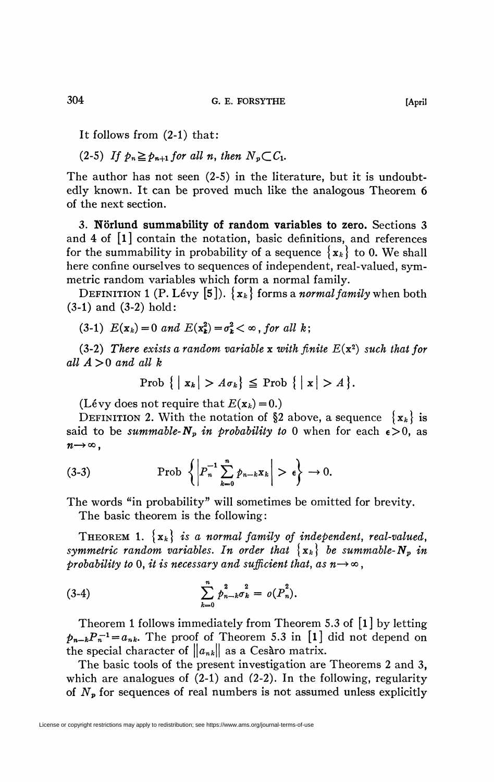It follows from (2-1) that:

 $(2-5)$  *If*  $p_n \geq p_{n+1}$  for all n, then  $N_n \subset C_1$ .

The author has not seen (2-5) in the literature, but it is undoubtedly known. It can be proved much like the analogous Theorem 6 of the next section.

3. **Nörlund summability of random variables to zero.** Sections 3 and 4 of [l] contain the notation, basic definitions, and references for the summability in probability of a sequence  $\{x_k\}$  to 0. We shall here confine ourselves to sequences of independent, real-valued, symmetric random variables which form a normal family.

DEFINITION 1 (P. Lévy [5]).  $\{x_k\}$  forms a *normal family* when both (3-1) and (3-2) hold:

 $(3-1)$   $E(x_k) = 0$  and  $E(x_k^2) = \sigma_k^2 < \infty$ , for all k;

(3-2) There exists a random variable x with finite  $E(x^2)$  such that for *all A>0 and all k* 

$$
\text{Prob }\{ \mid x_k \mid > A \sigma_k \} \leq \text{Prob }\{ \mid x \mid > A \}.
$$

(Lévy does not require that  $E(\mathbf{x}_k) = 0$ .)

**DEFINITION 2.** With the notation of §2 above, a sequence  $\{x_k\}$  is said to be *summable-N<sub>p</sub>* in *probability to* 0 when for each  $\epsilon > 0$ , as  $n\rightarrow\infty$ ,

(3-3) Prob 
$$
\left\{ \left| P_n^{-1} \sum_{k=0}^n p_{n-k} x_k \right| > \epsilon \right\} \to 0.
$$

The words "in probability" will sometimes be omitted for brevity.

The basic theorem is the following:

THEOREM 1.  $\{x_k\}$  is a normal family of independent, real-valued, *symmetric random variables. In order that*  $\{x_k\}$  be summable- $N_p$  in *probability to* 0, *it is necessary and sufficient that, as*  $n \rightarrow \infty$ ,

(3-4) 
$$
\sum_{k=0}^{n} p_{n-k}^{2} \sigma_{k}^{2} = o(P_{n}^{2}).
$$

Theorem 1 follows immediately from Theorem 5.3 of [l] by letting  $p_{n-k}P_n^{-1} = a_{nk}$ . The proof of Theorem 5.3 in [1] did not depend on the special character of  $||a_{nk}||$  as a Cesàro matrix.

The basic tools of the present investigation are Theorems 2 and 3, which are analogues of  $(2-1)$  and  $(2-2)$ . In the following, regularity of *Np* for sequences of real numbers is not assumed unless explicitly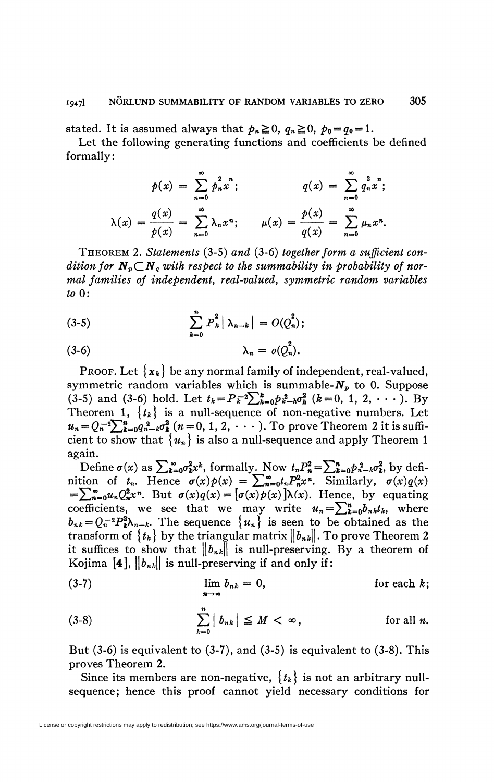stated. It is assumed always that  $p_n \ge 0$ ,  $q_n \ge 0$ ,  $p_0 = q_0 = 1$ .

Let the following generating functions and coefficients be defined formally:

$$
p(x) = \sum_{n=0}^{\infty} p_n^2 x^n; \qquad q(x) = \sum_{n=0}^{\infty} q_n^2 x^n; \n\lambda(x) = \frac{q(x)}{p(x)} = \sum_{n=0}^{\infty} \lambda_n x^n; \qquad \mu(x) = \frac{p(x)}{q(x)} = \sum_{n=0}^{\infty} \mu_n x^n.
$$

THEOREM 2. Statements (3-5) and (3-6) together form a sufficient condition for  $N_p \subset N_q$  with respect to the summability in probability of normal families of independent, real-valued, symmetric random variables  $to 0$ :

(3-5) 
$$
\sum_{k=0}^{n} P_{k}^{2} |\lambda_{n-k}| = O(Q_{n}^{2});
$$

$$
\lambda_n = o(Q_n^*).
$$

**PROOF.** Let  $\{x_k\}$  be any normal family of independent, real-valued, symmetric random variables which is summable- $N_p$  to 0. Suppose (3-5) and (3-6) hold. Let  $t_k = P_k^{-2} \sum_{h=0}^{k} p_{k-h}^2 \sigma_h^2$  ( $k = 0, 1, 2, \cdots$ ). By Theorem 1,  $\{t_k\}$  is a null-sequence of non-negative numbers. Let  $u_n = Q_n^{-2} \sum_{k=0}^n q_{n-k}^2 \sigma_k^2$   $(n = 0, 1, 2, \cdots)$ . To prove Theorem 2 it is sufficient to show that  $\{u_n\}$  is also a null-sequence and apply Theorem 1 again.

Define  $\sigma(x)$  as  $\sum_{k=0}^{\infty} \sigma_k^2 x^k$ , formally. Now  $t_n P_n^2 = \sum_{k=0}^n p_{n-k}^2 \sigma_k^2$ , by definition of  $t_n$ . Hence  $\sigma(x)\rho(x) = \sum_{n=0}^{\infty} t_n P_n^2 x^n$ . Similarly,  $\sigma(x)q(x)$  $=\sum_{n=0}^{\infty}u_nQ_n^2x^n$ . But  $\sigma(x)q(x)=[\sigma(x)p(x)]\lambda(x)$ . Hence, by equating coefficients, we see that we may write  $u_n = \sum_{k=0}^{n} b_{nk} t_k$ , where  $b_{nk} = Q_n^{-2} P_k^2 \lambda_{n-k}$ . The sequence  $\{u_n\}$  is seen to be obtained as the transform of  $\{t_k\}$  by the triangular matrix  $||b_{nk}||$ . To prove Theorem 2 it suffices to show that  $||b_{nk}||$  is null-preserving. By a theorem of Kojima [4],  $||b_{nk}||$  is null-preserving if and only if:

(3-7) 
$$
\lim_{n \to \infty} b_{nk} = 0, \qquad \text{for each } k;
$$

(3-8) 
$$
\sum_{k=0}^{n} |b_{nk}| \leq M < \infty, \qquad \text{for all } n.
$$

But  $(3-6)$  is equivalent to  $(3-7)$ , and  $(3-5)$  is equivalent to  $(3-8)$ . This proves Theorem 2.

Since its members are non-negative,  $\{t_k\}$  is not an arbitrary nullsequence; hence this proof cannot yield necessary conditions for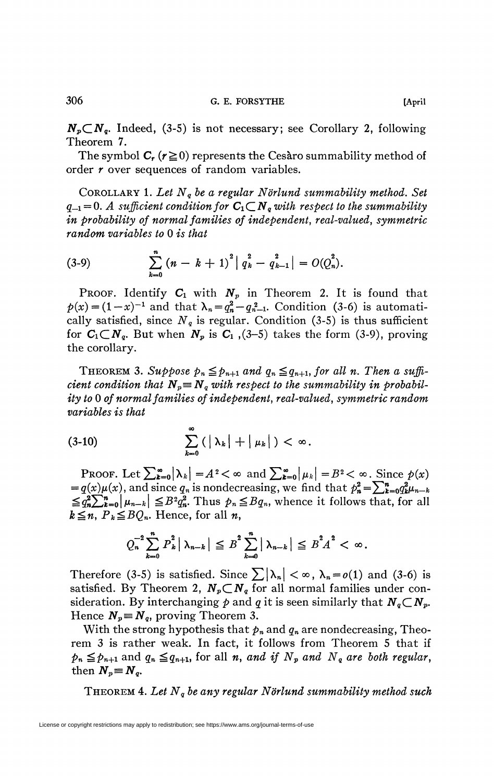$N_p \subset N_q$ . Indeed, (3-5) is not necessary; see Corollary 2, following Theorem 7.

The symbol  $C_r$  ( $r \ge 0$ ) represents the Cesàro summability method of order *r* over sequences of random variables.

COROLLARY 1. *Let Nq be a regular Nörlund summability method. Set*   $q_{-1} = 0$ . A sufficient condition for  $C_1 \subset N_q$  with respect to the summability *in probability of normal families of independent, real-valued, symmetric random variables to* 0 *is that* 

(3-9) 
$$
\sum_{k=0}^{n} (n-k+1)^2 |q_k^2 - q_{k-1}^2| = O(Q_n^2).
$$

**PROOF.** Identify  $C_1$  with  $N_p$  in Theorem 2. It is found that  $p(x) = (1-x)^{-1}$  and that  $\lambda_n = q_n^2 - q_{n-1}^2$ . Condition (3-6) is automatically satisfied, since  $N_q$  is regular. Condition (3-5) is thus sufficient for  $C_1 \subset N_q$ . But when  $N_p$  is  $C_1$ , (3-5) takes the form (3-9), proving the corollary.

THEOREM 3. Suppose  $p_n \leq p_{n+1}$  and  $q_n \leq q_{n+1}$ , for all n. Then a suffi*cient condition that*  $N_p \equiv N_q$  with respect to the summability in probabil*ity to* 0 *of normal families of independent, real-valued, symmetric random variables is that* 

$$
(3-10) \qquad \qquad \sum_{k=0}^{\infty} \left( \left| \lambda_k \right| + \left| \mu_k \right| \right) < \infty.
$$

PROOF. Let  $\sum_{k=0}^{\infty} |\lambda_k| = A^2 < \infty$  and  $\sum_{k=0}^{\infty} |\mu_k| = B^2 < \infty$ . Since  $p(x)$  $=q(x)\mu(x)$ , and since  $q_n$  is nondecreasing, we find that  $p_n^2 = \sum_{k=0}^n q_k^2 \mu_{n-k}$  $\leq q_n^2\sum_{k=0}^n|\mu_{n-k}|\leq B^2q_n^2$ . Thus  $p_n\leq Bq_n$ , whence it follows that, for all  $k \leq n$ ,  $P_k \leq BQ_n$ . Hence, for all *n*,

$$
Q_n^{-2} \sum_{k=0}^n P_k^2 |\lambda_{n-k}| \leq B^2 \sum_{k=0}^n |\lambda_{n-k}| \leq B^2 A^2 < \infty.
$$

Therefore (3-5) is satisfied. Since  $\sum |\lambda_n| < \infty$ ,  $\lambda_n = o(1)$  and (3-6) is satisfied. By Theorem 2,  $N_p \subset N_q$  for all normal families under consideration. By interchanging  $p$  and  $q$  it is seen similarly that  $N_q \subset N_p$ . Hence  $N_p = N_q$ , proving Theorem 3.

With the strong hypothesis that  $p_n$  and  $q_n$  are nondecreasing, Theorem 3 is rather weak. In fact, it follows from Theorem 5 that if  $p_n \leq p_{n+1}$  and  $q_n \leq q_{n+1}$ , for all *n, and if*  $N_p$  *and*  $N_q$  *are both regular,* then  $N_p \equiv N_q$ .

THEOREM 4. *Let Nq be any regular Nörlund summability method such*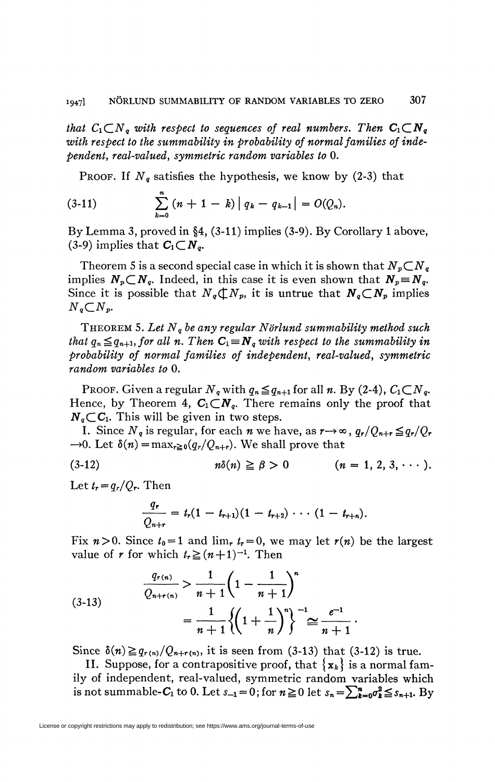*that*  $C_1 \subset N_q$  *with respect to sequences of real numbers. Then*  $C_1 \subset N_q$ with respect to the summability in probability of normal families of inde*pendent, real-valued, symmetric random variables to* 0.

PROOF. If  $N_q$  satisfies the hypothesis, we know by (2-3) that

(3-11) 
$$
\sum_{k=0}^{n} (n+1-k) |q_{k}-q_{k-1}| = O(Q_n).
$$

By Lemma 3, proved in §4, (3-11) implies (3-9). By Corollary 1 above, (3-9) implies that  $C_1 \subset N_q$ .

Theorem 5 is a second special case in which it is shown that  $N_p \subset N_q$ implies  $N_p \subset N_q$ . Indeed, in this case it is even shown that  $N_p \equiv N_q$ . Since it is possible that  $N_q \, \subset N_p$ , it is untrue that  $N_q \, \subset N_p$  implies  $N_q \subset N_p$ .

THEOREM 5. *Let Nq be any regular Nörlund summability method such that*  $q_n \leq q_{n+1}$ *, for all n. Then*  $C_1 = N_q$  *with respect to the summability in probability of normal families of independent, real-valued, symmetric random variables to* 0.

PROOF. Given a regular  $N_q$  with  $q_n \leq q_{n+1}$  for all *n*. By (2-4),  $C_1 \subset N_q$ . Hence, by Theorem 4,  $C_1 \subset N_q$ . There remains only the proof that  $N_q$ <sub>C</sub>C<sub>1</sub>. This will be given in two steps.

I. Since  $N_q$  is regular, for each  $n$  we have, as  $r \rightarrow \infty$ ,  $q_r/Q_{n+r} \leqq q_r/Q_r$  $\rightarrow$ 0. Let  $\delta(n) = \max_{r\geq 0}(q_r/Q_{n+r})$ . We shall prove that

**(3-12) frf(ff) ^ p > 0 (n = 1, 2, 3, • • • ).** 

Let  $t_r = q_r/Q_r$ . Then

$$
\frac{q_r}{Q_{n+r}}=t_r(1-t_{r+1})(1-t_{r+2})\cdots(1-t_{r+n}).
$$

Fix  $n > 0$ . Since  $t_0 = 1$  and  $\lim_{r} t_r = 0$ , we may let  $r(n)$  be the largest value of *r* for which  $t_r \geq (n+1)^{-1}$ . Then

$$
(3-13) \qquad \frac{q_{r(n)}}{Q_{n+r(n)}} > \frac{1}{n+1} \left( 1 - \frac{1}{n+1} \right)^n \\ = \frac{1}{n+1} \left\{ \left( 1 + \frac{1}{n} \right)^n \right\}^{-1} \cong \frac{e^{-1}}{n+1} \, .
$$

Since  $\delta(n) \geq q_{r(n)}/Q_{n+r(n)}$ , it is seen from (3-13) that (3-12) is true.

II. Suppose, for a contrapositive proof, that  $\{x_k\}$  is a normal family of independent, real-valued, symmetric random variables which is not summable-C<sub>1</sub> to 0. Let  $s_{-1} = 0$ ; for  $n \ge 0$  let  $s_n = \sum_{k=0}^n \sigma_k^2 \le s_{n+1}$ . By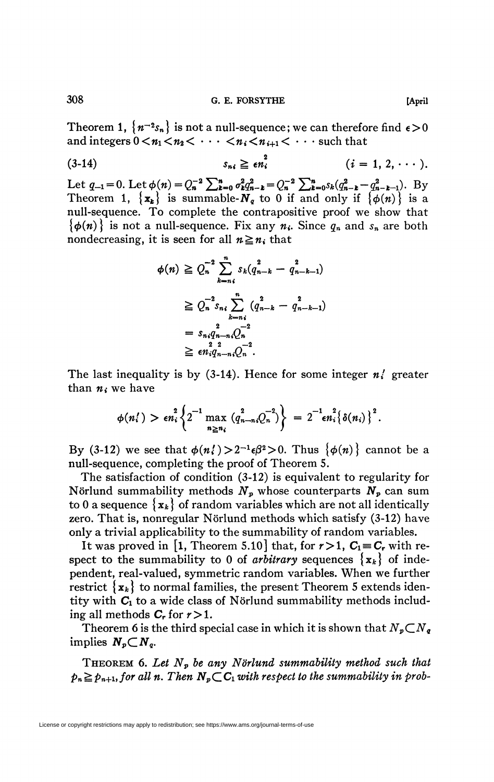308 **G. E. FORSYTHE [April** 

Theorem 1,  $\{n^{-2}s_n\}$  is not a null-sequence; we can therefore find  $\epsilon > 0$ and integers  $0 < n_1 < n_2 < \cdots < n_i < n_{i+1} < \cdots$  such that

$$
(3-14) \t s_{ni} \geq \epsilon n_i^2 \t (i = 1, 2, \cdots).
$$

Let  $q_{-1} = 0$ . Let  $\phi(n) = Q_n^{-2} \sum_{k=0}^{n} \sigma_k^2 q_{n-k}^2 = Q_n^{-2} \sum_{k=0}^{n} s_k (q_{n-k}^2 - q_{n-k-1}^2)$ . By Theorem 1,  $\{x_k\}$  is summable- $N_q$  to 0 if and only if  $\{\phi(n)\}\$ is a null-sequence. To complete the contrapositive proof we show that  ${\phi(n)}$  is not a null-sequence. Fix any  $n_i$ . Since  $q_n$  and  $s_n$  are both nondecreasing, it is seen for all  $n \geq n_i$  that

$$
\begin{split} \phi(n) &\geq Q_n^{-2} \sum_{k=n_i}^n s_k (q_{n-k}^2 - q_{n-k-1}^2) \\ &\geq Q_n^{-2} s_{n i} \sum_{k=n_i}^n (q_{n-k}^2 - q_{n-k-1}^2) \\ &= s_{n i} q_{n-n i}^{2} Q_n^{-2} \\ &\geq \epsilon n_i q_{n-n i} Q_n^{-2} .\end{split}
$$

The last inequality is by (3-14). Hence for some integer *n{* greater than  $n_i$  we have

$$
\phi(n_i') > \epsilon n_i^2 \left\{ 2^{-1} \max_{n \ge n_i} \left( q_{n-n_i}^2 Q_n^{-2} \right) \right\} = 2^{-1} \epsilon n_i^2 \left\{ \delta(n_i) \right\}^2.
$$

By (3-12) we see that  $\phi(n_i') > 2^{-1} \epsilon \beta^2 > 0$ . Thus  $\{\phi(n)\}$  cannot be a null-sequence, completing the proof of Theorem 5.

The satisfaction of condition (3-12) is equivalent to regularity for Nörlund summability methods  $N_p$  whose counterparts  $N_p$  can sum to 0 a sequence  $\{x_k\}$  of random variables which are not all identically zero. That is, nonregular Nörlund methods which satisfy  $(3-12)$  have only a trivial applicability to the summability of random variables.

It was proved in [1, Theorem 5.10] that, for  $r\!>\!1$ ,  $C_1\!\equiv\!C_r$  with respect to the summability to 0 of *arbitrary* sequences  $\{x_k\}$  of independent, real-valued, symmetric random variables. When we further restrict  ${x_k}$  to normal families, the present Theorem 5 extends identity with  $C_1$  to a wide class of Nörlund summability methods including all methods  $C_r$  for  $r > 1$ .

Theorem 6 is the third special case in which it is shown that  $N_p \subset N_q$ implies  $N_p \subset N_q$ .

THEOREM 6. *Let Np be any Nörlund summability method such that*   $p_n \geq p_{n+1}$ , for all n. Then  $N_p \subset C_1$  with respect to the summability in prob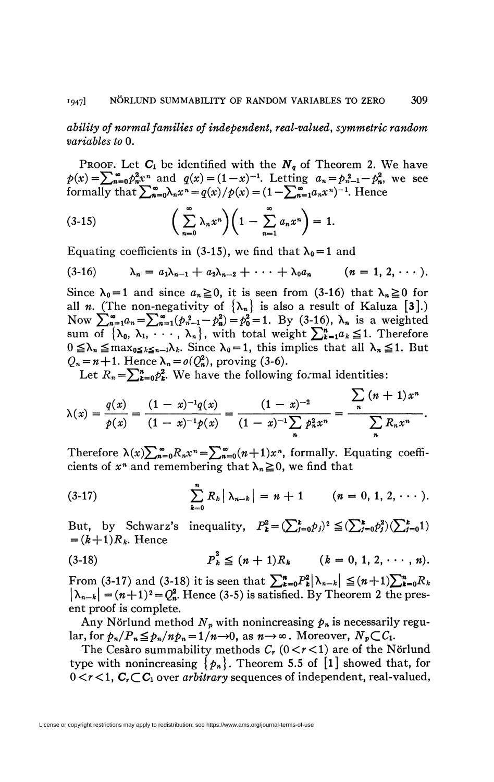ability of normal families of independent, real-valued, symmetric random variables to 0.

**PROOF.** Let  $C_1$  be identified with the  $N_q$  of Theorem 2. We have  $p(x) = \sum_{n=0}^{\infty} p_n^2 x^n$  and  $q(x) = (1-x)^{-1}$ . Letting  $a_n = p_{n-1}^2 - p_n^2$ , we see formally that  $\sum_{n=0}^{\infty} \lambda_n x^n = q(x)/p(x) = (1 - \sum_{n=1}^{\infty} a_n x^n)^{-1}$ . Hence

(3-15) 
$$
\left(\sum_{n=0}^{\infty} \lambda_n x^n\right) \left(1 - \sum_{n=1}^{\infty} a_n x^n\right) = 1.
$$

Equating coefficients in (3-15), we find that  $\lambda_0 = 1$  and

$$
(3-16) \qquad \lambda_n = a_1\lambda_{n-1} + a_2\lambda_{n-2} + \cdots + \lambda_0 a_n \qquad (n = 1, 2, \cdots).
$$

Since  $\lambda_0 = 1$  and since  $a_n \ge 0$ , it is seen from (3-16) that  $\lambda_n \ge 0$  for all *n*. (The non-negativity of  $\{\lambda_n\}$  is also a result of Kaluza [3].) Now  $\sum_{n=1}^{\infty} a_n = \sum_{n=1}^{\infty} (p_{n-1}^2 - p_n^2) = p_0^2 = 1$ . By (3-16),  $\lambda_n$  is a weighted sum of  $\{\lambda_0, \lambda_1, \dots, \lambda_n\}$ , with total weight  $\sum_{k=1}^n a_k \leq 1$ . Therefore  $0 \leq \lambda_n \leq \max_{0 \leq k \leq n-1} \lambda_k$ . Since  $\lambda_0 = 1$ , this implies that all  $\lambda_n \leq 1$ . But  $Q_n = n+1$ . Hence  $\lambda_n = o(Q_n^2)$ , proving (3-6).

Let  $R_n = \sum_{k=0}^n p_k^2$ . We have the following formal identities:

$$
\lambda(x) = \frac{q(x)}{p(x)} = \frac{(1-x)^{-1}q(x)}{(1-x)^{-1}p(x)} = \frac{(1-x)^{-2}}{(1-x)^{-1}\sum_{n} p_n^2 x^n} = \frac{\sum_{n} (n+1)x^n}{\sum_{n} R_n x^n}.
$$

Therefore  $\lambda(x) \sum_{n=0}^{\infty} R_n x^n = \sum_{n=0}^{\infty} (n+1) x^n$ , formally. Equating coefficients of  $x^n$  and remembering that  $\lambda_n \geq 0$ , we find that

(3-17) 
$$
\sum_{k=0}^{n} R_k |\lambda_{n-k}| = n+1 \qquad (n = 0, 1, 2, \cdots).
$$

But, by Schwarz's inequality,  $P_k^2 = (\sum_{j=0}^k p_j)^2 \leq (\sum_{j=0}^k p_j^2)(\sum_{j=0}^k 1)$  $=(k+1)R_k$ . Hence

$$
(3-18) \tP_k^2 \leq (n+1)R_k \t(k = 0, 1, 2, \cdots, n).
$$

From (3-17) and (3-18) it is seen that  $\sum_{k=0}^{n} P_k^2 |\lambda_{n-k}| \leq (n+1) \sum_{k=0}^{n} R_k$  $|\lambda_{n-k}| = (n+1)^2 = Q_n^2$ . Hence (3-5) is satisfied. By Theorem 2 the present proof is complete.

Any Nörlund method  $N_p$  with nonincreasing  $p_n$  is necessarily regular, for  $p_n/P_n \leq p_n/np_n = 1/n \rightarrow 0$ , as  $n \rightarrow \infty$ . Moreover,  $N_p \subset C_1$ .

The Cesaro summability methods  $C_r$  ( $0 < r < 1$ ) are of the Nörlund type with nonincreasing  $\{p_n\}$ . Theorem 5.5 of [1] showed that, for  $0 < r < 1$ ,  $C_r \subset C_1$  over *arbitrary* sequences of independent, real-valued,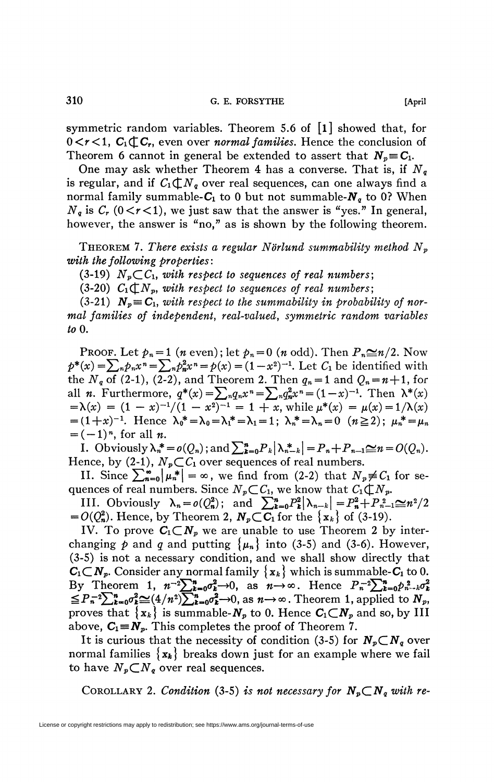symmetric random variables. Theorem 5.6 of  $\lceil 1 \rceil$  showed that, for  $0 < r < 1$ ,  $C_1 \oplus C_r$ , even over *normal families*. Hence the conclusion of Theorem 6 cannot in general be extended to assert that  $N_p = C_1$ .

One may ask whether Theorem 4 has a converse. That is, if *N<sup>q</sup>* is regular, and if  $C_1 \not\subset N_q$  over real sequences, can one always find a normal family summable- $C_1$  to 0 but not summable- $N<sub>g</sub>$  to 0? When  $N_q$  is  $C_r$  (0 $\lt r$  < 1), we just saw that the answer is "yes." In general, however, the answer is "no," as is shown by the following theorem.

THEOREM 7. *There exists a regular N'ôrlund summability method N<sup>p</sup> with the following properties:* 

 $(3-19)$   $N_p$ CC<sub>1</sub>, with respect to sequences of real numbers;

(3-20)  $C_1 \oplus N_p$ , with respect to sequences of real numbers;

 $(3-21)$   $N_p \equiv C_1$ , with respect to the summability in probability of nor*mal families of independent, real-valued, symmetric random variables toO.* 

PROOF. Let  $p_n = 1$  (*n* even); let  $p_n = 0$  (*n* odd). Then  $P_n \leq n/2$ . Now  $p^*(x) = \sum_{n} p_n x^n = \sum_{n} p_n^2 x^n = p(x) = (1 - x^2)^{-1}$ . Let  $C_1$  be identified with the  $N_q$  of (2-1), (2-2), and Theorem 2. Then  $q_n = 1$  and  $Q_n = n+1$ , for all *n*. Furthermore,  $q^*(x) = \sum_{n} q_n x^n = \sum_{n} q_n^2 x^n = (1-x)^{-1}$ . Then  $\lambda^*(x)$  $=\lambda(x) = (1-x)^{-1}/(1-x^2)^{-1} = 1+x$ , while  $\mu^*(x) = \mu(x) = 1/\lambda(x)$  $= (1+x)^{-1}$ . Hence  $\lambda_0^* = \lambda_0 = \lambda_1^* = \lambda_1 = 1$ ;  $\lambda_n^* = \lambda_n = 0$   $(n \ge 2)$ ;  $\mu_n^* = \mu_n$  $=(-1)^n$ , for all *n*.

I. Obviously  $\lambda_n^* = o(Q_n)$ ; and  $\sum_{k=0}^n P_k |\lambda_{n-k}^*| = P_n + P_{n-1} \simeq n = O(Q_n)$ . Hence, by (2-1),  $N_p \subset C_1$  over sequences of real numbers.

II. Since  $\sum_{n=0}^{\infty} |\mu_n^*| = \infty$ , we find from (2-2) that  $N_p \neq C_1$  for sequences of real numbers. Since  $N_p \subset C_1$ , we know that  $C_1 \subset N_p$ .

III. Obviously  $\lambda_n = o(Q_n^2)$ ; and  $\sum_{k=0}^n P_k^2 |\lambda_{n-k}| = P_n^2 + P_{n-1}^2 \ge n^2/2$  $= O(Q_n^2)$ . Hence, by Theorem 2,  $N_p \subset \overline{C_1}$  for the  $\{x_k\}$  of (3-19).

IV. To prove  $C_1 \subset N_p$  we are unable to use Theorem 2 by interchanging p and q and putting  $\{\mu_n\}$  into (3-5) and (3-6). However, (3-5) is not a necessary condition, and we shall show directly that  $C_1 \subset N_p$ . Consider any normal family  $\{x_k\}$  which is summable-C<sub>1</sub> to 0. By Theorem 1,  $n^{-2}\sum_{k=0}^n \sigma_k^2 \to 0$ , as  $n \to \infty$ . Hence  $P_n^{-2}\sum_{k=0}^n p_{n-k}^2 \sigma_k^2$  $\leq P_n^{-2}\sum_{k=0}^n\sigma_k^2\leq \frac{4}{n^2}\sum_{k=0}^n\sigma_k^2\rightarrow 0$ , as  $n\rightarrow\infty$ . Theorem 1, applied to  $N_p$ , proves that  $\{x_k\}$  is summable- $N_p$  to 0. Hence  $C_1 \subset N_p$  and so, by III above,  $C_1 \equiv N_p$ . This completes the proof of Theorem 7.

It is curious that the necessity of condition (3-5) for  $N_p \subset N_q$  over normal families  $\{x_k\}$  breaks down just for an example where we fail to have  $N_p \subset N_q$  over real sequences.

COROLLARY 2. Condition (3-5) is not necessary for  $N_p \subset N_q$  with re-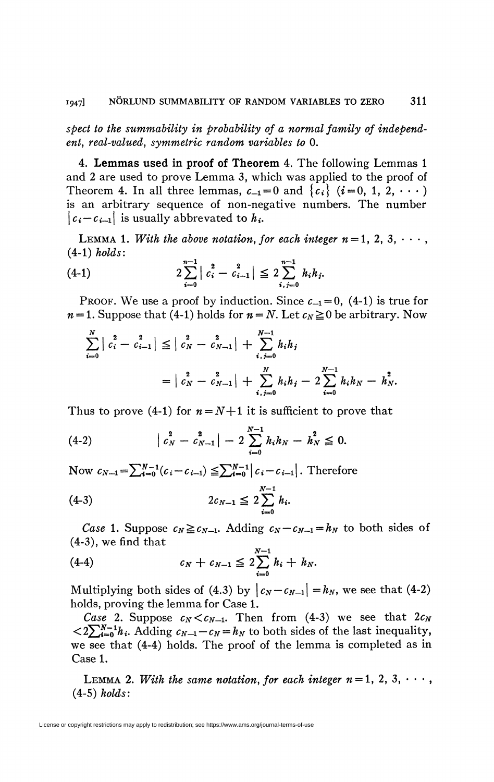spect to the summability in probability of a normal family of independent, real-valued, symmetric random variables to 0.

4. Lemmas used in proof of Theorem 4. The following Lemmas 1 and 2 are used to prove Lemma 3, which was applied to the proof of Theorem 4. In all three lemmas,  $c_{-1}=0$  and  $\{c_i\}$   $(i=0, 1, 2, \cdots)$ is an arbitrary sequence of non-negative numbers. The number  $|c_i-c_{i-1}|$  is usually abbrevated to  $h_i$ .

LEMMA 1. With the above notation, for each integer  $n=1, 2, 3, \cdots$ ,  $(4-1)$  holds:

$$
(4-1) \t2\sum_{i=0}^{n-1} |c_i^2 - c_{i-1}^2| \leq 2\sum_{i,j=0}^{n-1} h_i h_j.
$$

PROOF. We use a proof by induction. Since  $c_{-1} = 0$ , (4-1) is true for  $n=1$ . Suppose that (4-1) holds for  $n=N$ . Let  $c_N \ge 0$  be arbitrary. Now

$$
\sum_{i=0}^{N} | c_i^2 - c_{i-1}^2 | \leq | c_N^2 - c_{N-1}^2 | + \sum_{i,j=0}^{N-1} h_i h_j
$$
  
=  $| c_N^2 - c_{N-1}^2 | + \sum_{i,j=0}^{N} h_i h_j - 2 \sum_{i=0}^{N-1} h_i h_N - h_N^2.$ 

Thus to prove (4-1) for  $n = N+1$  it is sufficient to prove that

$$
(4-2) \qquad \qquad \left| c_N^2 - c_{N-1}^2 \right| - 2 \sum_{i=0}^{N-1} h_i h_N - h_N^2 \leq 0.
$$

Now  $c_{N-1} = \sum_{i=0}^{N-1} (c_i - c_{i-1}) \leq \sum_{i=0}^{N-1} |c_i - c_{i-1}|$ . Therefore

$$
(4-3) \t 2c_{N-1} \leq 2\sum_{i=0}^{N-1} h_i.
$$

*Case* 1. Suppose  $c_N \ge c_{N-1}$ . Adding  $c_N - c_{N-1} = h_N$  to both sides of  $(4-3)$ , we find that

(4-4) 
$$
c_N + c_{N-1} \leq 2 \sum_{i=0}^{N-1} h_i + h_N.
$$

Multiplying both sides of (4.3) by  $|c_N - c_{N-1}| = h_N$ , we see that (4-2) holds, proving the lemma for Case 1.

Case 2. Suppose  $c_N < c_{N-1}$ . Then from (4-3) we see that  $2c_N$  $\langle 2\sum_{k=0}^{N-1}h_i$ . Adding  $c_{N-1}-c_N=h_N$  to both sides of the last inequality, we see that (4-4) holds. The proof of the lemma is completed as in Case 1.

LEMMA 2. With the same notation, for each integer  $n=1, 2, 3, \cdots$ ,  $(4-5)$  holds:

License or copyright restrictions may apply to redistribution; see https://www.ams.org/journal-terms-of-use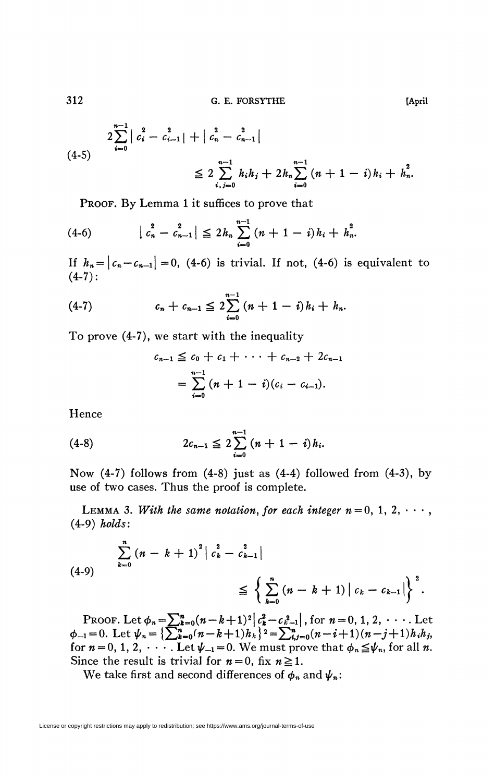G. E. FORSYTHE

$$
2\sum_{i=0}^{n-1} |c_i^2 - c_{i-1}^2| + |c_n^2 - c_{n-1}^2|
$$
  
\n
$$
\leq 2\sum_{i,j=0}^{n-1} h_i h_j + 2h_n \sum_{i=0}^{n-1} (n+1-i) h_i + h_n^2.
$$

PROOF. By Lemma 1 it suffices to prove that

$$
(4-6) \qquad |c_n^2 - c_{n-1}^2| \leq 2 h_n \sum_{i=0}^{n-1} (n+1-i) h_i + h_n^2.
$$

If  $h_n = |c_n - c_{n-1}| = 0$ , (4-6) is trivial. If not, (4-6) is equivalent to  $(4-7)$ :

(4-7) 
$$
c_n + c_{n-1} \leq 2 \sum_{i=0}^{n-1} (n+1-i) h_i + h_n.
$$

To prove (4-7), we start with the inequality

$$
c_{n-1} \leq c_0 + c_1 + \cdots + c_{n-2} + 2c_{n-1}
$$
  
= 
$$
\sum_{i=0}^{n-1} (n+1-i)(c_i - c_{i-1}).
$$

Hence

(4-8) 
$$
2c_{n-1} \leq 2\sum_{i=0}^{n-1} (n+1-i)h_i.
$$

Now  $(4-7)$  follows from  $(4-8)$  just as  $(4-4)$  followed from  $(4-3)$ , by use of two cases. Thus the proof is complete.

LEMMA 3. With the same notation, for each integer  $n=0, 1, 2, \cdots$ ,  $(4-9)$  holds:

(4-9)  

$$
\sum_{k=0}^{n} (n-k+1)^{2} | c_{k}^{2} - c_{k-1}^{2} |
$$

$$
\leq \left\{ \sum_{k=0}^{n} (n-k+1) | c_{k} - c_{k-1} | \right\}^{2}.
$$

PROOF. Let  $\phi_n = \sum_{k=0}^n (n-k+1)^2 \Big| c_k^2 - c_{k-1}^2 \Big|$ , for  $n = 0, 1, 2, \cdots$  Let  $\phi_{-1} = 0$ . Let  $\psi_n = \left\{ \sum_{k=0}^n (n-k+1)h_k \right\}^2 = \sum_{k=0}^n (n-i+1)(n-j+1)h_i h_j$ , for  $n = 0, 1, 2, \cdots$  Let  $\psi_{-1} = 0$ . We must prove that  $\phi_n \leq \$ Since the result is trivial for  $n=0$ , fix  $n \ge 1$ .

We take first and second differences of  $\phi_n$  and  $\psi_n$ :

312

[April